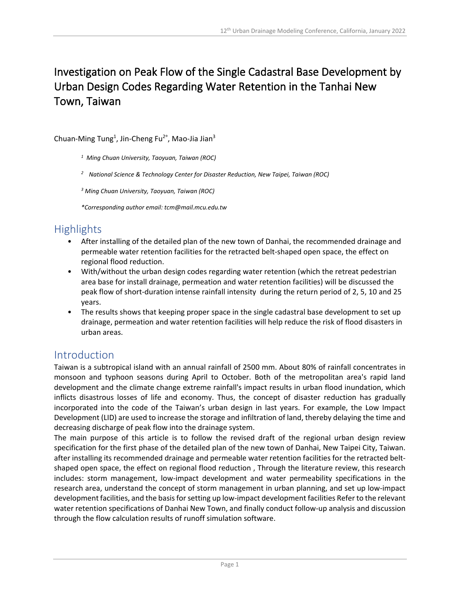# Investigation on Peak Flow of the Single Cadastral Base Development by Urban Design Codes Regarding Water Retention in the Tanhai New Town, Taiwan

Chuan-Ming Tung<sup>1</sup>, Jin-Cheng Fu<sup>2\*</sup>, Mao-Jia Jian<sup>3</sup>

*<sup>1</sup> Ming Chuan University, Taoyuan, Taiwan (ROC)*

*<sup>2</sup> National Science & Technology Center for Disaster Reduction, New Taipei, Taiwan (ROC)*

*<sup>3</sup> Ming Chuan University, Taoyuan, Taiwan (ROC)*

*\*Corresponding author email: tcm@mail.mcu.edu.tw*

## Highlights

- After installing of the detailed plan of the new town of Danhai, the recommended drainage and permeable water retention facilities for the retracted belt-shaped open space, the effect on regional flood reduction.
- With/without the urban design codes regarding water retention (which the retreat pedestrian area base for install drainage, permeation and water retention facilities) will be discussed the peak flow of short-duration intense rainfall intensity during the return period of 2, 5, 10 and 25 years.
- The results shows that keeping proper space in the single cadastral base development to set up drainage, permeation and water retention facilities will help reduce the risk of flood disasters in urban areas.

#### Introduction

Taiwan is a subtropical island with an annual rainfall of 2500 mm. About 80% of rainfall concentrates in monsoon and typhoon seasons during April to October. Both of the metropolitan area's rapid land development and the climate change extreme rainfall's impact results in urban flood inundation, which inflicts disastrous losses of life and economy. Thus, the concept of disaster reduction has gradually incorporated into the code of the Taiwan's urban design in last years. For example, the Low Impact Development (LID) are used to increase the storage and infiltration of land, thereby delaying the time and decreasing discharge of peak flow into the drainage system.

The main purpose of this article is to follow the revised draft of the regional urban design review specification for the first phase of the detailed plan of the new town of Danhai, New Taipei City, Taiwan. after installing its recommended drainage and permeable water retention facilities for the retracted beltshaped open space, the effect on regional flood reduction , Through the literature review, this research includes: storm management, low-impact development and water permeability specifications in the research area, understand the concept of storm management in urban planning, and set up low-impact development facilities, and the basis for setting up low-impact development facilities Refer to the relevant water retention specifications of Danhai New Town, and finally conduct follow-up analysis and discussion through the flow calculation results of runoff simulation software.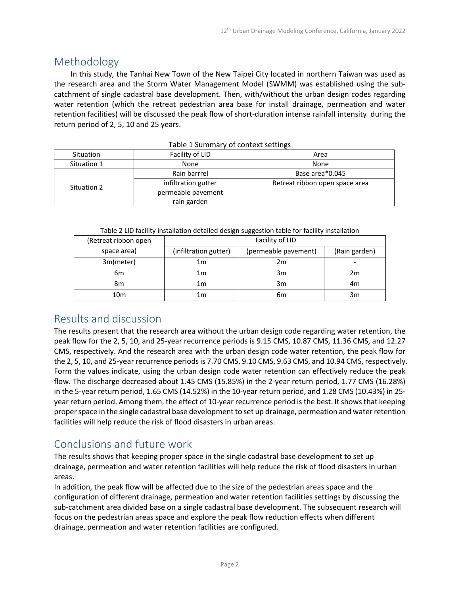#### Methodology

In this study, the Tanhai New Town of the New Taipei City located in northern Taiwan was used as the research area and the Storm Water Management Model (SWMM) was established using the subcatchment of single cadastral base development. Then, with/without the urban design codes regarding water retention (which the retreat pedestrian area base for install drainage, permeation and water retention facilities) will be discussed the peak flow of short-duration intense rainfall intensity during the return period of 2, 5, 10 and 25 years.

| Situation   | Facility of LID     | Area                           |  |
|-------------|---------------------|--------------------------------|--|
| Situation 1 | None                | None                           |  |
| Situation 2 | Rain barrrel        | Base area*0.045                |  |
|             | infiltration gutter | Retreat ribbon open space area |  |
|             | permeable pavement  |                                |  |
|             | rain garden         |                                |  |

Table 1 Summary of context settings

| Table 2 LID facility installation detailed design suggestion table for facility installation |  |
|----------------------------------------------------------------------------------------------|--|
|----------------------------------------------------------------------------------------------|--|

| (Retreat ribbon open | Facility of LID       |                      |               |
|----------------------|-----------------------|----------------------|---------------|
| space area)          | (infiltration gutter) | (permeable pavement) | (Rain garden) |
| 3m(meter)            | 1m                    | 2m                   |               |
| 6m                   | 1m                    | 3m                   | 2m            |
| 8m                   | 1m                    | 3m                   | 4m            |
| 10m                  | 1m                    | 6m                   | 3m            |

#### Results and discussion

The results present that the research area without the urban design code regarding water retention, the peak flow for the 2, 5, 10, and 25-year recurrence periods is 9.15 CMS, 10.87 CMS, 11.36 CMS, and 12.27 CMS, respectively. And the research area with the urban design code water retention, the peak flow for the 2, 5, 10, and 25-year recurrence periods is 7.70 CMS, 9.10 CMS, 9.63 CMS, and 10.94 CMS, respectively. Form the values indicate, using the urban design code water retention can effectively reduce the peak flow. The discharge decreased about 1.45 CMS (15.85%) in the 2-year return period, 1.77 CMS (16.28%) in the 5-year return period, 1.65 CMS (14.52%) in the 10-year return period, and 1.28 CMS (10.43%) in 25 year return period. Among them, the effect of 10-year recurrence period is the best. It shows that keeping proper space in the single cadastral base development to set up drainage, permeation and water retention facilities will help reduce the risk of flood disasters in urban areas.

### Conclusions and future work

The results shows that keeping proper space in the single cadastral base development to set up drainage, permeation and water retention facilities will help reduce the risk of flood disasters in urban areas.

In addition, the peak flow will be affected due to the size of the pedestrian areas space and the configuration of different drainage, permeation and water retention facilities settings by discussing the sub-catchment area divided base on a single cadastral base development. The subsequent research will focus on the pedestrian areas space and explore the peak flow reduction effects when different drainage, permeation and water retention facilities are configured.